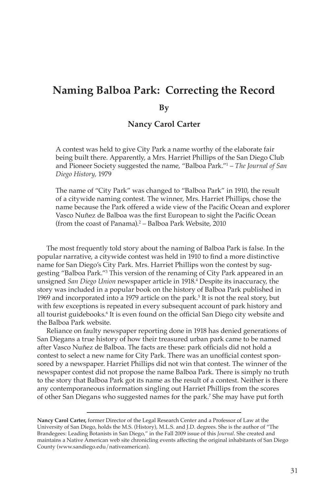# **Naming Balboa Park: Correcting the Record**

#### **By**

#### **Nancy Carol Carter**

A contest was held to give City Park a name worthy of the elaborate fair being built there. Apparently, a Mrs. Harriet Phillips of the San Diego Club and Pioneer Society suggested the name, "Balboa Park."1 – *The Journal of San Diego History,* 1979

The name of "City Park" was changed to "Balboa Park" in 1910, the result of a citywide naming contest. The winner, Mrs. Harriet Phillips, chose the name because the Park offered a wide view of the Pacific Ocean and explorer Vasco Nuñez de Balboa was the first European to sight the Pacific Ocean (from the coast of Panama).2 – Balboa Park Website, 2010

The most frequently told story about the naming of Balboa Park is false. In the popular narrative, a citywide contest was held in 1910 to find a more distinctive name for San Diego's City Park. Mrs. Harriet Phillips won the contest by suggesting "Balboa Park."3 This version of the renaming of City Park appeared in an unsigned *San Diego Union* newspaper article in 1918.4 Despite its inaccuracy, the story was included in a popular book on the history of Balboa Park published in 1969 and incorporated into a 1979 article on the park.<sup>5</sup> It is not the real story, but with few exceptions is repeated in every subsequent account of park history and all tourist guidebooks.<sup>6</sup> It is even found on the official San Diego city website and the Balboa Park website.

Reliance on faulty newspaper reporting done in 1918 has denied generations of San Diegans a true history of how their treasured urban park came to be named after Vasco Nuñez de Balboa. The facts are these: park officials did not hold a contest to select a new name for City Park. There was an unofficial contest sponsored by a newspaper. Harriet Phillips did not win that contest. The winner of the newspaper contest did not propose the name Balboa Park. There is simply no truth to the story that Balboa Park got its name as the result of a contest. Neither is there any contemporaneous information singling out Harriet Phillips from the scores of other San Diegans who suggested names for the park.7 She may have put forth

**Nancy Carol Carter,** former Director of the Legal Research Center and a Professor of Law at the University of San Diego, holds the M.S. (History), M.L.S. and J.D. degrees. She is the author of "The Brandegees: Leading Botanists in San Diego," in the Fall 2009 issue of this *Journal*. She created and maintains a Native American web site chronicling events affecting the original inhabitants of San Diego County (www.sandiego.edu/nativeamerican).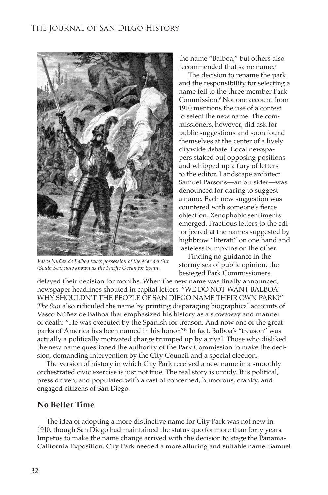

*Vasco Nuñez de Balboa takes possession of the Mar del Sur (South Sea) now known as the Pacific Ocean for Spain.*

the name "Balboa," but others also recommended that same name.<sup>8</sup>

The decision to rename the park and the responsibility for selecting a name fell to the three-member Park Commission.9 Not one account from 1910 mentions the use of a contest to select the new name. The commissioners, however, did ask for public suggestions and soon found themselves at the center of a lively citywide debate. Local newspapers staked out opposing positions and whipped up a fury of letters to the editor. Landscape architect Samuel Parsons—an outsider—was denounced for daring to suggest a name. Each new suggestion was countered with someone's fierce objection. Xenophobic sentiments emerged. Fractious letters to the editor jeered at the names suggested by highbrow "literati" on one hand and tasteless bumpkins on the other.

Finding no guidance in the stormy sea of public opinion, the besieged Park Commissioners

delayed their decision for months. When the new name was finally announced, newspaper headlines shouted in capital letters: "WE DO NOT WANT BALBOA! WHY SHOULDN'T THE PEOPLE OF SAN DIEGO NAME THEIR OWN PARK?" *The Sun* also ridiculed the name by printing disparaging biographical accounts of Vasco Núñez de Balboa that emphasized his history as a stowaway and manner of death: "He was executed by the Spanish for treason. And now one of the great parks of America has been named in his honor."10 In fact, Balboa's "treason" was actually a politically motivated charge trumped up by a rival. Those who disliked the new name questioned the authority of the Park Commission to make the decision, demanding intervention by the City Council and a special election.

The version of history in which City Park received a new name in a smoothly orchestrated civic exercise is just not true. The real story is untidy. It is political, press driven, and populated with a cast of concerned, humorous, cranky, and engaged citizens of San Diego.

#### **No Better Time**

The idea of adopting a more distinctive name for City Park was not new in 1910, though San Diego had maintained the status quo for more than forty years. Impetus to make the name change arrived with the decision to stage the Panama-California Exposition. City Park needed a more alluring and suitable name. Samuel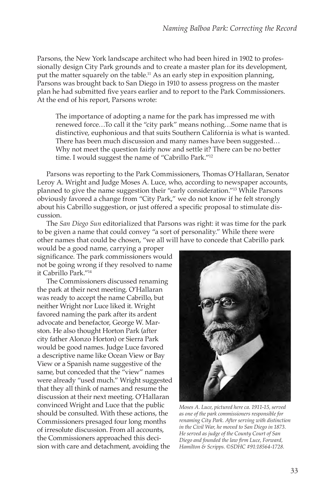Parsons, the New York landscape architect who had been hired in 1902 to professionally design City Park grounds and to create a master plan for its development, put the matter squarely on the table.<sup>11</sup> As an early step in exposition planning, Parsons was brought back to San Diego in 1910 to assess progress on the master plan he had submitted five years earlier and to report to the Park Commissioners. At the end of his report, Parsons wrote:

The importance of adopting a name for the park has impressed me with renewed force…To call it the "city park" means nothing…Some name that is distinctive, euphonious and that suits Southern California is what is wanted. There has been much discussion and many names have been suggested… Why not meet the question fairly now and settle it? There can be no better time. I would suggest the name of "Cabrillo Park."12

Parsons was reporting to the Park Commissioners, Thomas O'Hallaran, Senator Leroy A. Wright and Judge Moses A. Luce, who, according to newspaper accounts, planned to give the name suggestion their "early consideration."13 While Parsons obviously favored a change from "City Park," we do not know if he felt strongly about his Cabrillo suggestion, or just offered a specific proposal to stimulate discussion.

The *San Diego Sun* editorialized that Parsons was right: it was time for the park to be given a name that could convey "a sort of personality." While there were other names that could be chosen, "we all will have to concede that Cabrillo park

would be a good name, carrying a proper significance. The park commissioners would not be going wrong if they resolved to name it Cabrillo Park."14

The Commissioners discussed renaming the park at their next meeting. O'Hallaran was ready to accept the name Cabrillo, but neither Wright nor Luce liked it. Wright favored naming the park after its ardent advocate and benefactor, George W. Marston. He also thought Horton Park (after city father Alonzo Horton) or Sierra Park would be good names. Judge Luce favored a descriptive name like Ocean View or Bay View or a Spanish name suggestive of the same, but conceded that the "view" names were already "used much." Wright suggested that they all think of names and resume the discussion at their next meeting. O'Hallaran convinced Wright and Luce that the public should be consulted. With these actions, the Commissioners presaged four long months of irresolute discussion. From all accounts, the Commissioners approached this decision with care and detachment, avoiding the



*Moses A. Luce, pictured here ca. 1911-15, served as one of the park commissioners responsible for renaming City Park. After serving with distinction in the Civil War, he moved to San Diego in 1873. He served as judge of the County Court of San Diego and founded the law firm Luce, Forward, Hamilton & Scripps. ©SDHC #91:18564-1728.*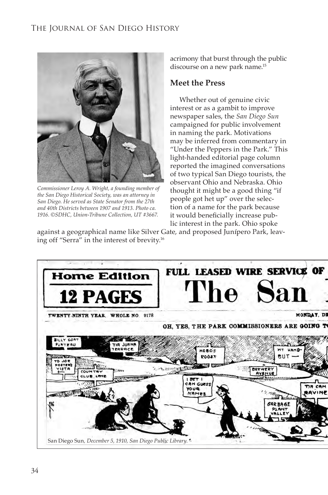

*Commissioner Leroy A. Wright, a founding member of the San Diego Historical Society, was an attorney in San Diego. He served as State Senator from the 27th and 40th Districts between 1907 and 1913. Photo ca. 1916. ©SDHC, Union-Tribune Collection, UT #3667.*

acrimony that burst through the public discourse on a new park name.15

#### **Meet the Press**

Whether out of genuine civic interest or as a gambit to improve newspaper sales, the *San Diego Sun* campaigned for public involvement in naming the park. Motivations may be inferred from commentary in "Under the Peppers in the Park." This light-handed editorial page column reported the imagined conversations of two typical San Diego tourists, the observant Ohio and Nebraska. Ohio thought it might be a good thing "if people got het up" over the selection of a name for the park because it would beneficially increase public interest in the park. Ohio spoke

against a geographical name like Silver Gate, and proposed Junípero Park, leaving off "Serra" in the interest of brevity.16

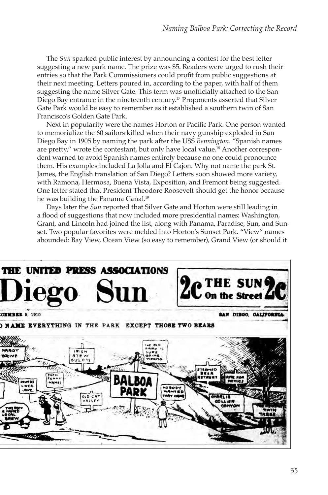The *Sun* sparked public interest by announcing a contest for the best letter suggesting a new park name. The prize was \$5. Readers were urged to rush their entries so that the Park Commissioners could profit from public suggestions at their next meeting. Letters poured in, according to the paper, with half of them suggesting the name Silver Gate. This term was unofficially attached to the San Diego Bay entrance in the nineteenth century.17 Proponents asserted that Silver Gate Park would be easy to remember as it established a southern twin of San Francisco's Golden Gate Park.

Next in popularity were the names Horton or Pacific Park. One person wanted to memorialize the 60 sailors killed when their navy gunship exploded in San Diego Bay in 1905 by naming the park after the USS *Bennington*. "Spanish names are pretty," wrote the contestant, but only have local value.18 Another correspondent warned to avoid Spanish names entirely because no one could pronounce them. His examples included La Jolla and El Cajon. Why not name the park St. James, the English translation of San Diego? Letters soon showed more variety, with Ramona, Hermosa, Buena Vista, Exposition, and Fremont being suggested. One letter stated that President Theodore Roosevelt should get the honor because he was building the Panama Canal.<sup>19</sup>

Days later the *Sun* reported that Silver Gate and Horton were still leading in a flood of suggestions that now included more presidential names: Washington, Grant, and Lincoln had joined the list, along with Panama, Paradise, Sun, and Sunset. Two popular favorites were melded into Horton's Sunset Park. "View" names abounded: Bay View, Ocean View (so easy to remember), Grand View (or should it

![](_page_4_Picture_4.jpeg)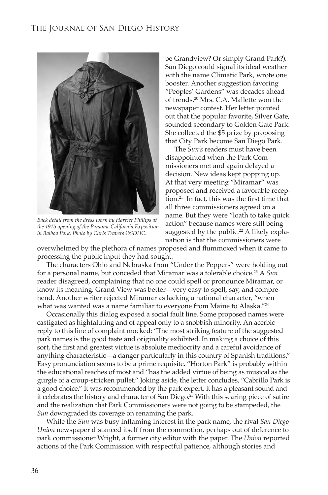![](_page_5_Picture_1.jpeg)

*Back detail from the dress worn by Harriet Phillips at the 1915 opening of the Panama-California Exposition in Balboa Park. Photo by Chris Travers ©SDHC.*

be Grandview? Or simply Grand Park?). San Diego could signal its ideal weather with the name Climatic Park, wrote one booster. Another suggestion favoring "Peoples' Gardens" was decades ahead of trends.20 Mrs. C.A. Mallette won the newspaper contest. Her letter pointed out that the popular favorite, Silver Gate, sounded secondary to Golden Gate Park. She collected the \$5 prize by proposing that City Park become San Diego Park.

The *Sun's* readers must have been disappointed when the Park Commissioners met and again delayed a decision. New ideas kept popping up. At that very meeting "Miramar" was proposed and received a favorable reception.21 In fact, this was the first time that all three commissioners agreed on a name. But they were "loath to take quick action" because names were still being suggested by the public.<sup>22</sup> A likely explanation is that the commissioners were

overwhelmed by the plethora of names proposed and flummoxed when it came to processing the public input they had sought.

The characters Ohio and Nebraska from "Under the Peppers" were holding out for a personal name, but conceded that Miramar was a tolerable choice.23 A *Sun*  reader disagreed, complaining that no one could spell or pronounce Miramar, or know its meaning. Grand View was better—very easy to spell, say, and comprehend. Another writer rejected Miramar as lacking a national character, "when what was wanted was a name familiar to everyone from Maine to Alaska."24

Occasionally this dialog exposed a social fault line. Some proposed names were castigated as highfaluting and of appeal only to a snobbish minority. An acerbic reply to this line of complaint mocked: "The most striking feature of the suggested park names is the good taste and originality exhibited. In making a choice of this sort, the first and greatest virtue is absolute mediocrity and a careful avoidance of anything characteristic—a danger particularly in this country of Spanish traditions." Easy pronunciation seems to be a prime requisite. "Horton Park" is probably within the educational reaches of most and "has the added virtue of being as musical as the gurgle of a croup-stricken pullet." Joking aside, the letter concludes, "Cabrillo Park is a good choice." It was recommended by the park expert, it has a pleasant sound and it celebrates the history and character of San Diego.<sup>25</sup> With this searing piece of satire and the realization that Park Commissioners were not going to be stampeded, the *Sun* downgraded its coverage on renaming the park.

While the *Sun* was busy inflaming interest in the park name, the rival *San Diego Union* newspaper distanced itself from the commotion, perhaps out of deference to park commissioner Wright, a former city editor with the paper. The *Union* reported actions of the Park Commission with respectful patience, although stories and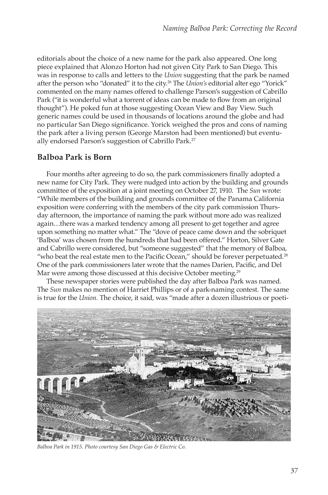editorials about the choice of a new name for the park also appeared. One long piece explained that Alonzo Horton had not given City Park to San Diego. This was in response to calls and letters to the *Union* suggesting that the park be named after the person who "donated" it to the city.26 The *Union's* editorial alter ego "Yorick" commented on the many names offered to challenge Parson's suggestion of Cabrillo Park ("it is wonderful what a torrent of ideas can be made to flow from an original thought"). He poked fun at those suggesting Ocean View and Bay View. Such generic names could be used in thousands of locations around the globe and had no particular San Diego significance. Yorick weighed the pros and cons of naming the park after a living person (George Marston had been mentioned) but eventually endorsed Parson's suggestion of Cabrillo Park.27

## **Balboa Park is Born**

Four months after agreeing to do so, the park commissioners finally adopted a new name for City Park. They were nudged into action by the building and grounds committee of the exposition at a joint meeting on October 27, 1910. The *Sun* wrote: "While members of the building and grounds committee of the Panama California exposition were conferring with the members of the city park commission Thursday afternoon, the importance of naming the park without more ado was realized again…there was a marked tendency among all present to get together and agree upon something no matter what." The "dove of peace came down and the sobriquet 'Balboa' was chosen from the hundreds that had been offered." Horton, Silver Gate and Cabrillo were considered, but "someone suggested" that the memory of Balboa, "who beat the real estate men to the Pacific Ocean," should be forever perpetuated.<sup>28</sup> One of the park commissioners later wrote that the names Darien, Pacific, and Del Mar were among those discussed at this decisive October meeting.<sup>29</sup>

These newspaper stories were published the day after Balboa Park was named. The *Sun* makes no mention of Harriet Phillips or of a park-naming contest. The same is true for the *Union.* The choice, it said, was "made after a dozen illustrious or poeti-

![](_page_6_Picture_5.jpeg)

*Balboa Park in 1915. Photo courtesy San Diego Gas & Electric Co.*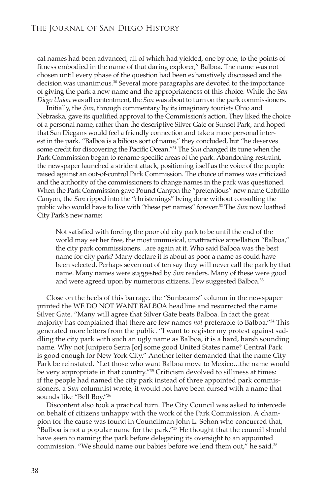cal names had been advanced, all of which had yielded, one by one, to the points of fitness embodied in the name of that daring explorer," Balboa. The name was not chosen until every phase of the question had been exhaustively discussed and the decision was unanimous.30 Several more paragraphs are devoted to the importance of giving the park a new name and the appropriateness of this choice. While the *San Diego Union* was all contentment, the *Sun* was about to turn on the park commissioners.

Initially, the *Sun*, through commentary by its imaginary tourists Ohio and Nebraska, gave its qualified approval to the Commission's action. They liked the choice of a personal name, rather than the descriptive Silver Gate or Sunset Park, and hoped that San Diegans would feel a friendly connection and take a more personal interest in the park. "Balboa is a bilious sort of name," they concluded, but "he deserves some credit for discovering the Pacific Ocean."31 The *Sun* changed its tune when the Park Commission began to rename specific areas of the park. Abandoning restraint, the newspaper launched a strident attack, positioning itself as the voice of the people raised against an out-of-control Park Commission. The choice of names was criticized and the authority of the commissioners to change names in the park was questioned. When the Park Commission gave Pound Canyon the "pretentious" new name Cabrillo Canyon, the *Sun* ripped into the "christenings" being done without consulting the public who would have to live with "these pet names" forever.32 The *Sun* now loathed City Park's new name:

Not satisfied with forcing the poor old city park to be until the end of the world may set her free, the most unmusical, unattractive appellation "Balboa," the city park commissioners…are again at it. Who said Balboa was the best name for city park? Many declare it is about as poor a name as could have been selected. Perhaps seven out of ten say they will never call the park by that name. Many names were suggested by *Sun* readers. Many of these were good and were agreed upon by numerous citizens. Few suggested Balboa.<sup>33</sup>

Close on the heels of this barrage, the "Sunbeams" column in the newspaper printed the WE DO NOT WANT BALBOA headline and resurrected the name Silver Gate. "Many will agree that Silver Gate beats Balboa. In fact the great majority has complained that there are few names *not* preferable to Balboa."34 This generated more letters from the public. "I want to register my protest against saddling the city park with such an ugly name as Balboa, it is a hard, harsh sounding name. Why not Junipero Serra [or] some good United States name? Central Park is good enough for New York City." Another letter demanded that the name City Park be reinstated. "Let those who want Balboa move to Mexico…the name would be very appropriate in that country."35 Criticism devolved to silliness at times: if the people had named the city park instead of three appointed park commissioners, a *Sun* columnist wrote, it would not have been cursed with a name that sounds like "Bell Boy."36

Discontent also took a practical turn. The City Council was asked to intercede on behalf of citizens unhappy with the work of the Park Commission. A champion for the cause was found in Councilman John L. Sehon who concurred that, "Balboa is not a popular name for the park." $37$  He thought that the council should have seen to naming the park before delegating its oversight to an appointed commission. "We should name our babies before we lend them out," he said.<sup>38</sup>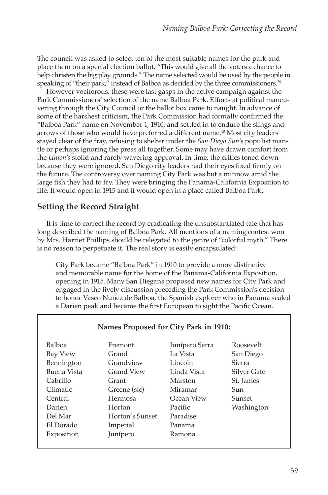The council was asked to select ten of the most suitable names for the park and place them on a special election ballot. "This would give all the voters a chance to help christen the big play grounds." The name selected would be used by the people in speaking of "their park," instead of Balboa as decided by the three commissioners.<sup>39</sup>

However vociferous, these were last gasps in the active campaign against the Park Commissioners' selection of the name Balboa Park. Efforts at political maneuvering through the City Council or the ballot box came to naught. In advance of some of the harshest criticism, the Park Commission had formally confirmed the "Balboa Park" name on November 1, 1910, and settled in to endure the slings and arrows of those who would have preferred a different name.40 Most city leaders stayed clear of the fray, refusing to shelter under the *San Diego Sun's* populist mantle or perhaps ignoring the press all together. Some may have drawn comfort from the *Union's* stolid and rarely wavering approval. In time, the critics toned down because they were ignored. San Diego city leaders had their eyes fixed firmly on the future. The controversy over naming City Park was but a minnow amid the large fish they had to fry. They were bringing the Panama-California Exposition to life. It would open in 1915 and it would open in a place called Balboa Park.

## **Setting the Record Straight**

It is time to correct the record by eradicating the unsubstantiated tale that has long described the naming of Balboa Park. All mentions of a naming contest won by Mrs. Harriet Phillips should be relegated to the genre of "colorful myth." There is no reason to perpetuate it. The real story is easily encapsulated:

City Park became "Balboa Park" in 1910 to provide a more distinctive and memorable name for the home of the Panama-California Exposition, opening in 1915. Many San Diegans proposed new names for City Park and engaged in the lively discussion preceding the Park Commission's decision to honor Vasco Nuñez de Balboa, the Spanish explorer who in Panama scaled a Darien peak and became the first European to sight the Pacific Ocean.

| Names Proposed for City Park in 1910: |                 |                |             |
|---------------------------------------|-----------------|----------------|-------------|
| Balboa                                | Fremont         | Junípero Serra | Roosevelt   |
| Bay View                              | Grand           | La Vista       | San Diego   |
| Bennington                            | Grandview       | Lincoln        | Sierra      |
| Buena Vista                           | Grand View      | Linda Vista    | Silver Gate |
| Cabrillo                              | Grant           | Marston        | St. James   |
| Climatic                              | Greene (sic)    | Miramar        | Sun         |
| Central                               | Hermosa         | Ocean View     | Sunset      |
| Darien                                | Horton          | Pacific        | Washington  |
| Del Mar                               | Horton's Sunset | Paradise       |             |
| El Dorado                             | Imperial        | Panama         |             |
| Exposition                            | Junípero        | Ramona         |             |
|                                       |                 |                |             |

#### **Names Proposed for City Park in 1910:**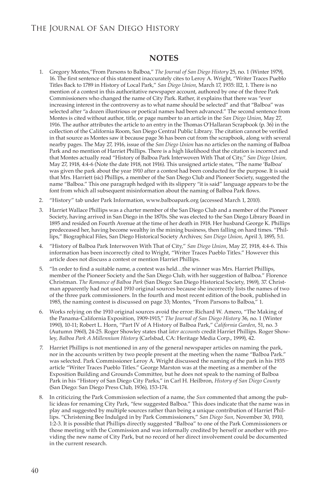## **NOTES**

- 1. Gregory Montes,"From Parsons to Balboa," *The Journal of San Diego History* 25, no. 1 (Winter 1979), 16. The first sentence of this statement inaccurately cites to Leroy A. Wright, "Writer Traces Pueblo Titles Back to 1789 in History of Local Park," *San Diego Union*, March 17, 1935: II2, 1. There is no mention of a contest in this authoritative newspaper account, authored by one of the three Park Commissioners who changed the name of City Park. Rather, it explains that there was "ever increasing interest in the controversy as to what name should be selected" and that "Balboa" was selected after "a dozen illustrious or poetical names had been advanced." The second sentence from Montes is cited without author, title, or page number to an article in the *San Diego Union*, May 27, 1916. The author attributes the article to an entry in the Thomas O'Hallaran Scrapbook (p. 36) in the collection of the California Room, San Diego Central Public Library. The citation cannot be verified in that source as Montes saw it because page 36 has been cut from the scrapbook, along with several nearby pages. The May 27, 1916, issue of the *San Diego Union* has no articles on the naming of Balboa Park and no mention of Harriet Phillips. There is a high likelihood that the citation is incorrect and that Montes actually read "History of Balboa Park Interwoven With That of City," *San Diego Union,* May 27, 1918, 4:4-6 (Note the date 1918, not 1916). This unsigned article states, "The name 'Balboa' was given the park about the year 1910 after a contest had been conducted for the purpose. It is said that Mrs. Harriett (sic) Phillips, a member of the San Diego Club and Pioneer Society, suggested the name "Balboa." This one paragraph hedged with its slippery "it is said" language appears to be the font from which all subsequent misinformation about the naming of Balboa Park flows.
- 2. "History" tab under Park Information, www.balboapark.org (accessed March 1, 2010).
- 3. Harriet Wallace Phillips was a charter member of the San Diego Club and a member of the Pioneer Society, having arrived in San Diego in the 1870s. She was elected to the San Diego Library Board in 1895 and resided on Fourth Avenue at the time of her death in 1918. Her husband George K. Phillips predeceased her, having become wealthy in the mining business, then falling on hard times. "Phillips," Biographical Files, San Diego Historical Society Archives; *San Diego Union*, April 3, 1895, 5:1.
- 4. "History of Balboa Park Interwoven With That of City," *San Diego Union*, May 27, 1918, 4:4-6. This information has been incorrectly cited to Wright, "Writer Traces Pueblo Titles." However this article does not discuss a contest or mention Harriet Phillips.
- 5. "In order to find a suitable name, a contest was held…the winner was Mrs. Harriet Phillips, member of the Pioneer Society and the San Diego Club, with her suggestion of Balboa." Florence Christman. *The Romance of Balboa Park* (San Diego: San Diego Historical Society, 1969), 37. Christman apparently had not used 1910 original sources because she incorrectly lists the names of two of the three park commissioners. In the fourth and most recent edition of the book, published in 1985, the naming contest is discussed on page 33; Montes, "From Parsons to Balboa," 1.
- 6. Works relying on the 1910 original sources avoid the error: Richard W. Amero, "The Making of the Panama-California Exposition, 1909-1915," *The Journal of San Diego History* 36, no. 1 (Winter 1990), 10-11; Robert L. Horn, "Part IV of A History of Balboa Park," *California Garden*, 51, no. 3 (Autumn 1960), 24-25. Roger Showley states that *later accounts* credit Harriet Phillips. Roger Showley, *Balboa Park A Millennium History* (Carlsbad, CA: Heritage Media Corp., 1999), 42.
- 7. Harriet Phillips is not mentioned in any of the general newspaper articles on naming the park, nor in the accounts written by two people present at the meeting when the name "Balboa Park." was selected. Park Commissioner Leroy A. Wright discussed the naming of the park in his 1935 article "Writer Traces Pueblo Titles." George Marston was at the meeting as a member of the Exposition Building and Grounds Committee, but he does not speak to the naming of Balboa Park in his "History of San Diego City Parks," in Carl H. Heilbron, *History of San Diego County* (San Diego: San Diego Press Club, 1936), 153-174.
- 8. In criticizing the Park Commission selection of a name, the *Sun* commented that among the public ideas for renaming City Park, "few suggested Balboa." This does indicate that the name was in play and suggested by multiple sources rather than being a unique contribution of Harriet Phillips. "Christening Bee Indulged in by Park Commissioners," *San Diego Sun,* November 30, 1910, 1:2-3. It is possible that Phillips directly suggested "Balboa" to one of the Park Commissioners or those meeting with the Commission and was informally credited by herself or another with providing the new name of City Park, but no record of her direct involvement could be documented in the current research.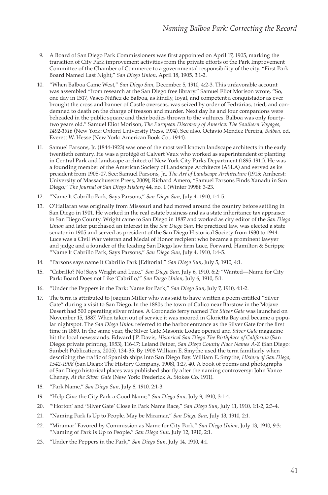- 9. A Board of San Diego Park Commissioners was first appointed on April 17, 1905, marking the transition of City Park improvement activities from the private efforts of the Park Improvement Committee of the Chamber of Commerce to a governmental responsibility of the city. "First Park Board Named Last Night," *San Diego Union*, April 18, 1905, 3:1-2.
- 10. "When Balboa Came West," *San Diego Sun*, December 5, 1910, 4:2-3. This unfavorable account was assembled "from research at the San Diego free library." Samuel Eliot Morison wrote, "So, one day in 1517, Vasco Núñez de Balboa, as kindly, loyal, and competent a conquistador as ever brought the cross and banner of Castle overseas, was seized by order of Pedrárias, tried, and condemned to death on the charge of treason and murder. Next day he and four companions were beheaded in the public square and their bodies thrown to the vultures. Balboa was only fourtytwo years old." Samuel Eliot Morison, *The European Discovery of America: The Southern Voyages, 1492-1616* (New York: Oxford University Press, 1974). See also, Octavio Mendez Pereira, *Balboa,* ed. Everett W. Hesse (New York: American Book Co., 1944).
- 11. Samuel Parsons, Jr. (1844-1923) was one of the most well known landscape architects in the early twentieth century. He was a protégé of Calvert Vaux who worked as superintendent of planting in Central Park and landscape architect of New York City Parks Department (1895-1911). He was a founding member of the American Society of Landscape Architects (ASLA ) and served as its president from 1905-07. See: Samuel Parsons, Jr., *The Art of Landscape Architecture* (1915; Amherst: University of Massachusetts Press, 2009); Richard Amero, "Samuel Parsons Finds Xanadu in San Diego," *The Journal of San Diego History* 44, no. 1 (Winter 1998): 3-23.
- 12. "Name It Cabrillo Park, Says Parsons," *San Diego Sun*, July 4, 1910, 1:4-5.
- 13. O'Hallaran was originally from Missouri and had moved around the country before settling in San Diego in 1901. He worked in the real estate business and as a state inheritance tax appraiser in San Diego County. Wright came to San Diego in 1887 and worked as city editor of the *San Diego Union* and later purchased an interest in the *San Diego Sun*. He practiced law, was elected a state senator in 1905 and served as president of the San Diego Historical Society from 1930 to 1944. Luce was a Civil War veteran and Medal of Honor recipient who became a prominent lawyer and judge and a founder of the leading San Diego law firm Luce, Forward, Hamilton & Scripps; "Name It Cabrillo Park, Says Parsons," *San Diego Sun*, July 4, 1910, 1:4-5.
- 14. "Parsons says name it Cabrillo Park [Editorial]" *San Diego Sun*, July 5, 1910, 4:1.
- 15. "Cabrillo? No! Says Wright and Luce," *San Diego Sun*, July 6, 1910, 6:2; "Wanted—Name for City Park: Board Does not Like 'Cabrillo,'" *San Diego Union*, July 6, 1910, 5:1.
- 16. "Under the Peppers in the Park: Name for Park," *San Diego Sun*, July 7, 1910, 4:1-2.
- 17. The term is attributed to Joaquin Miller who was said to have written a poem entitled "Silver Gate" during a visit to San Diego. In the 1880s the town of Calico near Barstow in the Mojave Desert had 500 operating silver mines. A Coronado ferry named *The Silver Gate* was launched on November 15, 1887. When taken out of service it was moored in Glorietta Bay and became a popular nightspot. The *San Diego Union* referred to the harbor entrance as the Silver Gate for the first time in 1889. In the same year, the Silver Gate Masonic Lodge opened and *Silver Gate* magazine hit the local newsstands. Edward J.P. Davis, *Historical San Diego The Birthplace of California* (San Diego: private printing, 1953), 116-17; Leland Fetzer, *San Diego County Place Names A-Z* (San Diego: Sunbelt Publications, 2005), 134-35. By 1908 William E. Smythe used the term familiarly when describing the traffic of Spanish ships into San Diego Bay. William E. Smythe, *History of San Diego, 1542-1908* (San Diego: The History Company, 1908), 1:27, 40. A book of poems and photographs of San Diego historical places was published shortly after the naming controversy: John Vance Cheney, *At the Silver Gate* (New York: Frederick A. Stokes Co. 1911).
- 18. "Park Name," *San Diego Sun,* July 8, 1910, 2:1-3.
- 19. "Help Give the City Park a Good Name," *San Diego Sun*, July 9, 1910, 3:1-4.
- 20. "'Horton' and 'Silver Gate' Close in Park Name Race," *San Diego Sun*, July 11, 1910, 1:1-2, 2:3-4.
- 21. "Naming Park Is Up to People, May be Miramar," *San Diego Sun*, July 13, 1910, 2:1.
- 22. "Miramar' Favored by Commission as Name for City Park," *San Diego Union*, July 13, 1910, 9:3; "Naming of Park is Up to People," *San Diego Sun*, July 12, 1910, 2:1.
- 23. "Under the Peppers in the Park," *San Diego Sun*, July 14, 1910, 4:1.